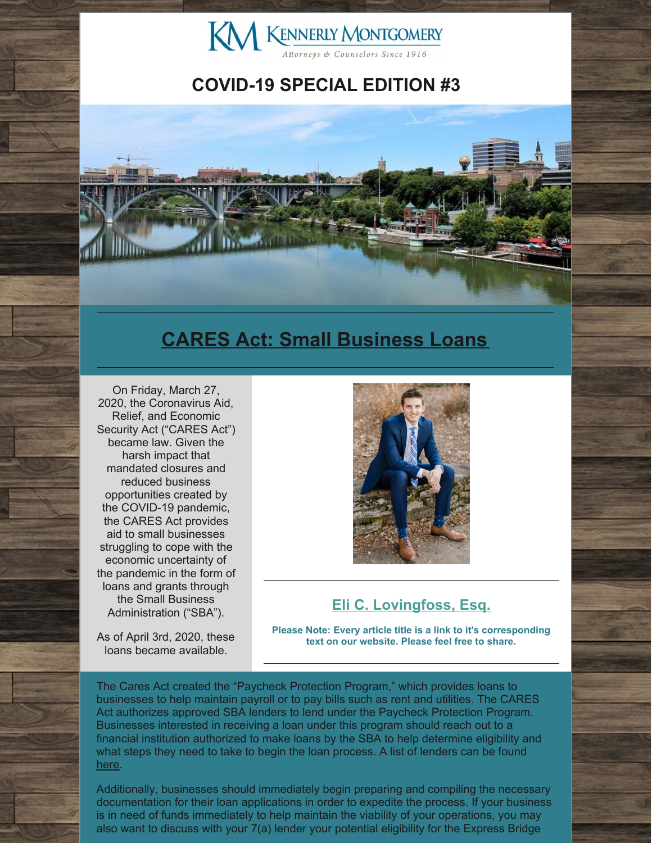

### **COVID-19 SPECIAL EDITION #3**



### **CARES Act: Small [Business](http://www.kmfpc.com/Articles/cares_act_small_business_loans.aspx) Loans**

On Friday, March 27, 2020, the Coronavirus Aid, Relief, and Economic Security Act ("CARES Act") became law. Given the harsh impact that mandated closures and reduced business opportunities created by the COVID-19 pandemic, the CARES Act provides aid to small businesses struggling to cope with the economic uncertainty of the pandemic in the form of loans and grants through the Small Business Administration ("SBA").

As of April 3rd, 2020, these loans became available.



#### **Eli C. [Lovingfoss,](http://www.kmfpc.com/attorneys/elijah_c_lovingfoss.aspx) Esq.**

**Please Note: Every article title is a link to it's corresponding text on our website. Please feel free to share.**

The Cares Act created the "Paycheck Protection Program," which provides loans to businesses to help maintain payroll or to pay bills such as rent and utilities. The CARES Act authorizes approved SBA lenders to lend under the Paycheck Protection Program. Businesses interested in receiving a loan under this program should reach out to a financial institution authorized to make loans by the SBA to help determine eligibility and what steps they need to take to begin the loan process. A list of lenders can be found [here](https://www.sba.gov/partners/lenders/microloan-program/list-lenders).

Additionally, businesses should immediately begin preparing and compiling the necessary documentation for their loan applications in order to expedite the process. If your business is in need of funds immediately to help maintain the viability of your operations, you may also want to discuss with your 7(a) lender your potential eligibility for the Express Bridge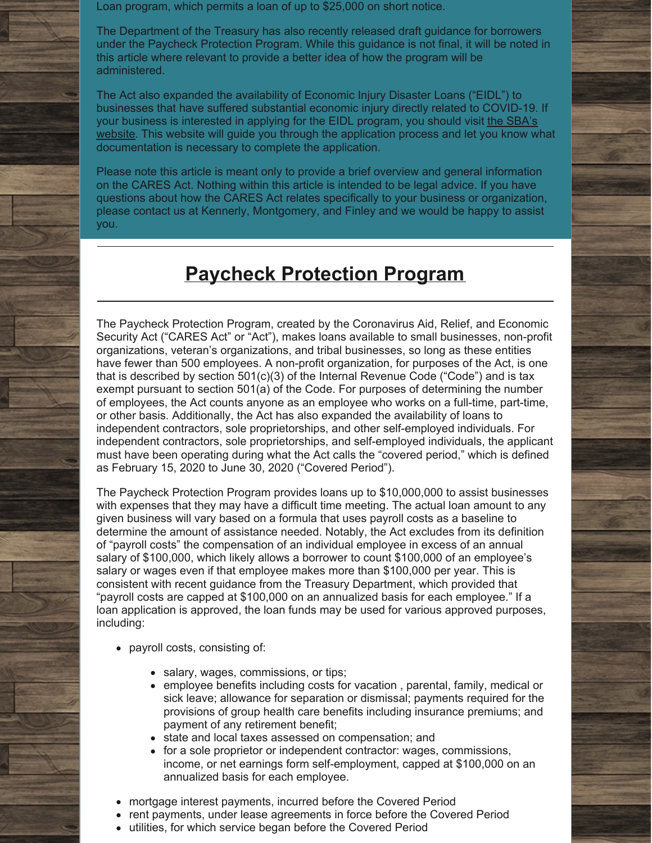Loan program, which permits a loan of up to \$25,000 on short notice.

The Department of the Treasury has also recently released draft guidance for borrowers under the Paycheck Protection Program. While this guidance is not final, it will be noted in this article where relevant to provide a better idea of how the program will be administered.

The Act also expanded the availability of Economic Injury Disaster Loans ("EIDL") to businesses that have suffered substantial economic injury directly related to COVID-19. If your business is interested in applying for the EIDL program, you should visit the SBA's website. This website will guide you through the [application](https://www.sba.gov/disaster/apply-for-disaster-loan/index.html) process and let you know what documentation is necessary to complete the application.

Please note this article is meant only to provide a brief overview and general information on the CARES Act. Nothing within this article is intended to be legal advice. If you have questions about how the CARES Act relates specifically to your business or organization, please contact us at Kennerly, Montgomery, and Finley and we would be happy to assist you.

### **Paycheck [Protection](http://www.kmfpc.com/Articles/cares_act_small_business_loans.aspx) Program**

The Paycheck Protection Program, created by the Coronavirus Aid, Relief, and Economic Security Act ("CARES Act" or "Act"), makes loans available to small businesses, non-profit organizations, veteran's organizations, and tribal businesses, so long as these entities have fewer than 500 employees. A non-profit organization, for purposes of the Act, is one that is described by section 501(c)(3) of the Internal Revenue Code ("Code") and is tax exempt pursuant to section 501(a) of the Code. For purposes of determining the number of employees, the Act counts anyone as an employee who works on a full-time, part-time, or other basis. Additionally, the Act has also expanded the availability of loans to independent contractors, sole proprietorships, and other self-employed individuals. For independent contractors, sole proprietorships, and self-employed individuals, the applicant must have been operating during what the Act calls the "covered period," which is defined as February 15, 2020 to June 30, 2020 ("Covered Period").

The Paycheck Protection Program provides loans up to \$10,000,000 to assist businesses with expenses that they may have a difficult time meeting. The actual loan amount to any given business will vary based on a formula that uses payroll costs as a baseline to determine the amount of assistance needed. Notably, the Act excludes from its definition of "payroll costs" the compensation of an individual employee in excess of an annual salary of \$100,000, which likely allows a borrower to count \$100,000 of an employee's salary or wages even if that employee makes more than \$100,000 per year. This is consistent with recent guidance from the Treasury Department, which provided that "payroll costs are capped at \$100,000 on an annualized basis for each employee." If a loan application is approved, the loan funds may be used for various approved purposes, including:

- payroll costs, consisting of:
	- salary, wages, commissions, or tips;
	- employee benefits including costs for vacation , parental, family, medical or sick leave; allowance for separation or dismissal; payments required for the provisions of group health care benefits including insurance premiums; and payment of any retirement benefit;
	- state and local taxes assessed on compensation; and
	- for a sole proprietor or independent contractor: wages, commissions, income, or net earnings form self-employment, capped at \$100,000 on an annualized basis for each employee.
- mortgage interest payments, incurred before the Covered Period
- rent payments, under lease agreements in force before the Covered Period
- utilities, for which service began before the Covered Period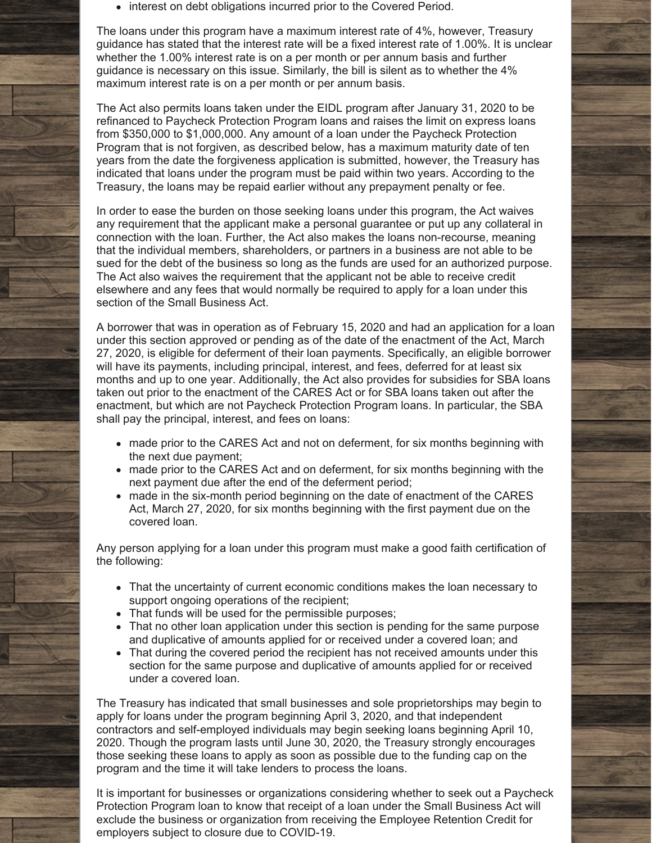• interest on debt obligations incurred prior to the Covered Period.

The loans under this program have a maximum interest rate of 4%, however, Treasury guidance has stated that the interest rate will be a fixed interest rate of 1.00%. It is unclear whether the 1.00% interest rate is on a per month or per annum basis and further guidance is necessary on this issue. Similarly, the bill is silent as to whether the 4% maximum interest rate is on a per month or per annum basis.

The Act also permits loans taken under the EIDL program after January 31, 2020 to be refinanced to Paycheck Protection Program loans and raises the limit on express loans from \$350,000 to \$1,000,000. Any amount of a loan under the Paycheck Protection Program that is not forgiven, as described below, has a maximum maturity date of ten years from the date the forgiveness application is submitted, however, the Treasury has indicated that loans under the program must be paid within two years. According to the Treasury, the loans may be repaid earlier without any prepayment penalty or fee.

In order to ease the burden on those seeking loans under this program, the Act waives any requirement that the applicant make a personal guarantee or put up any collateral in connection with the loan. Further, the Act also makes the loans non-recourse, meaning that the individual members, shareholders, or partners in a business are not able to be sued for the debt of the business so long as the funds are used for an authorized purpose. The Act also waives the requirement that the applicant not be able to receive credit elsewhere and any fees that would normally be required to apply for a loan under this section of the Small Business Act.

A borrower that was in operation as of February 15, 2020 and had an application for a loan under this section approved or pending as of the date of the enactment of the Act, March 27, 2020, is eligible for deferment of their loan payments. Specifically, an eligible borrower will have its payments, including principal, interest, and fees, deferred for at least six months and up to one year. Additionally, the Act also provides for subsidies for SBA loans taken out prior to the enactment of the CARES Act or for SBA loans taken out after the enactment, but which are not Paycheck Protection Program loans. In particular, the SBA shall pay the principal, interest, and fees on loans:

- made prior to the CARES Act and not on deferment, for six months beginning with the next due payment;
- made prior to the CARES Act and on deferment, for six months beginning with the next payment due after the end of the deferment period;
- made in the six-month period beginning on the date of enactment of the CARES Act, March 27, 2020, for six months beginning with the first payment due on the covered loan.

Any person applying for a loan under this program must make a good faith certification of the following:

- That the uncertainty of current economic conditions makes the loan necessary to support ongoing operations of the recipient;
- That funds will be used for the permissible purposes;
- That no other loan application under this section is pending for the same purpose and duplicative of amounts applied for or received under a covered loan; and
- That during the covered period the recipient has not received amounts under this section for the same purpose and duplicative of amounts applied for or received under a covered loan.

The Treasury has indicated that small businesses and sole proprietorships may begin to apply for loans under the program beginning April 3, 2020, and that independent contractors and self-employed individuals may begin seeking loans beginning April 10, 2020. Though the program lasts until June 30, 2020, the Treasury strongly encourages those seeking these loans to apply as soon as possible due to the funding cap on the program and the time it will take lenders to process the loans.

It is important for businesses or organizations considering whether to seek out a Paycheck Protection Program loan to know that receipt of a loan under the Small Business Act will exclude the business or organization from receiving the Employee Retention Credit for employers subject to closure due to COVID-19.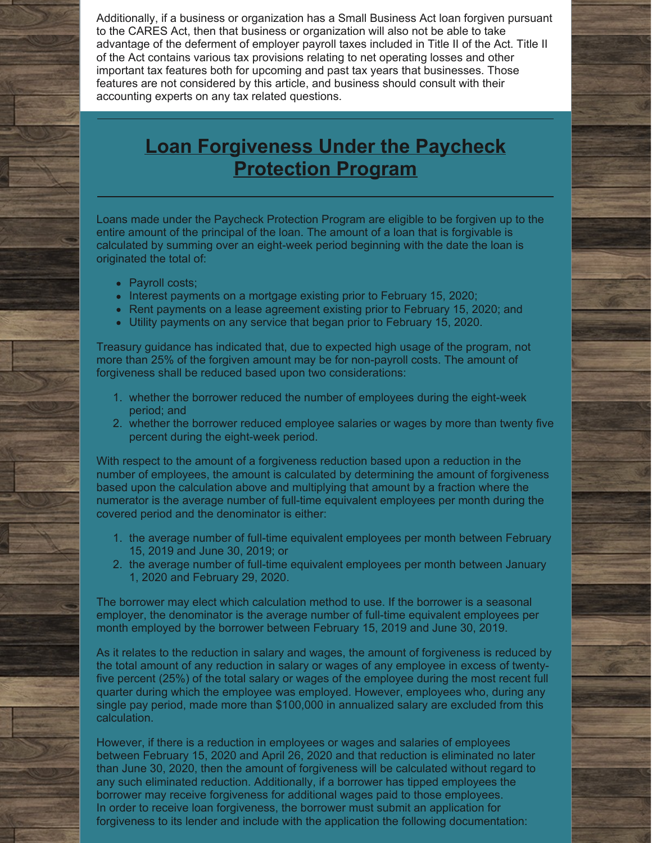Additionally, if a business or organization has a Small Business Act loan forgiven pursuant to the CARES Act, then that business or organization will also not be able to take advantage of the deferment of employer payroll taxes included in Title II of the Act. Title II of the Act contains various tax provisions relating to net operating losses and other important tax features both for upcoming and past tax years that businesses. Those features are not considered by this article, and business should consult with their accounting experts on any tax related questions.

## **Loan [Forgiveness](http://www.kmfpc.com/Articles/cares_act_small_business_loans.aspx) Under the Paycheck Protection Program**

Loans made under the Paycheck Protection Program are eligible to be forgiven up to the entire amount of the principal of the loan. The amount of a loan that is forgivable is calculated by summing over an eight-week period beginning with the date the loan is originated the total of:

- Payroll costs;
- Interest payments on a mortgage existing prior to February 15, 2020;
- Rent payments on a lease agreement existing prior to February 15, 2020; and
- Utility payments on any service that began prior to February 15, 2020.

Treasury guidance has indicated that, due to expected high usage of the program, not more than 25% of the forgiven amount may be for non-payroll costs. The amount of forgiveness shall be reduced based upon two considerations:

- 1. whether the borrower reduced the number of employees during the eight-week period; and
- 2. whether the borrower reduced employee salaries or wages by more than twenty five percent during the eight-week period.

With respect to the amount of a forgiveness reduction based upon a reduction in the number of employees, the amount is calculated by determining the amount of forgiveness based upon the calculation above and multiplying that amount by a fraction where the numerator is the average number of full-time equivalent employees per month during the covered period and the denominator is either:

- 1. the average number of full-time equivalent employees per month between February 15, 2019 and June 30, 2019; or
- 2. the average number of full-time equivalent employees per month between January 1, 2020 and February 29, 2020.

The borrower may elect which calculation method to use. If the borrower is a seasonal employer, the denominator is the average number of full-time equivalent employees per month employed by the borrower between February 15, 2019 and June 30, 2019.

As it relates to the reduction in salary and wages, the amount of forgiveness is reduced by the total amount of any reduction in salary or wages of any employee in excess of twentyfive percent (25%) of the total salary or wages of the employee during the most recent full quarter during which the employee was employed. However, employees who, during any single pay period, made more than \$100,000 in annualized salary are excluded from this calculation.

However, if there is a reduction in employees or wages and salaries of employees between February 15, 2020 and April 26, 2020 and that reduction is eliminated no later than June 30, 2020, then the amount of forgiveness will be calculated without regard to any such eliminated reduction. Additionally, if a borrower has tipped employees the borrower may receive forgiveness for additional wages paid to those employees. In order to receive loan forgiveness, the borrower must submit an application for forgiveness to its lender and include with the application the following documentation: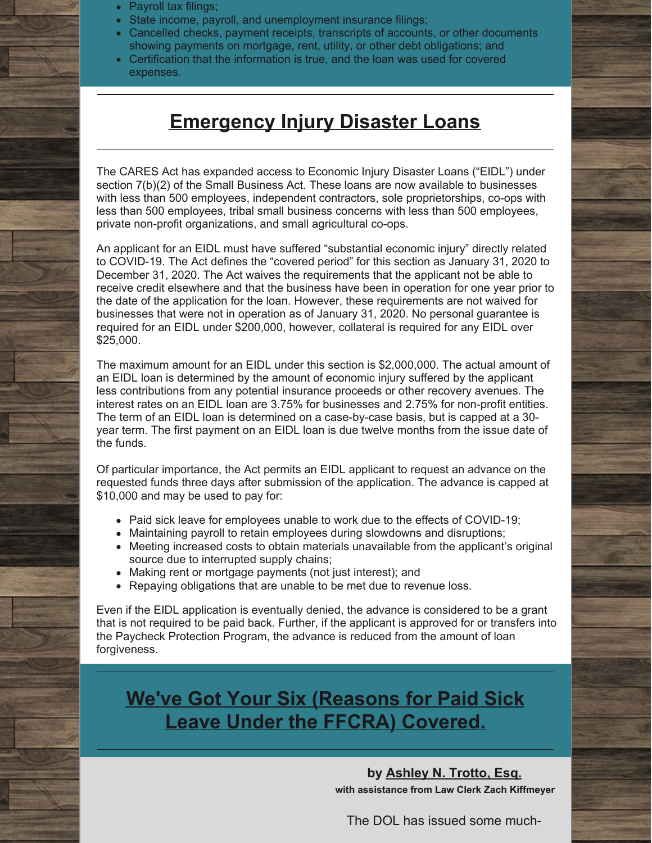- Payroll tax filings;
- State income, payroll, and unemployment insurance filings;
- Cancelled checks, payment receipts, transcripts of accounts, or other documents showing payments on mortgage, rent, utility, or other debt obligations; and
- Certification that the information is true, and the loan was used for covered expenses.

#### **[Emergency](http://www.kmfpc.com/Articles/cares_act_small_business_loans.aspx) Injury Disaster Loans**

The CARES Act has expanded access to Economic Injury Disaster Loans ("EIDL") under section 7(b)(2) of the Small Business Act. These loans are now available to businesses with less than 500 employees, independent contractors, sole proprietorships, co-ops with less than 500 employees, tribal small business concerns with less than 500 employees, private non-profit organizations, and small agricultural co-ops.

An applicant for an EIDL must have suffered "substantial economic injury" directly related to COVID-19. The Act defines the "covered period" for this section as January 31, 2020 to December 31, 2020. The Act waives the requirements that the applicant not be able to receive credit elsewhere and that the business have been in operation for one year prior to the date of the application for the loan. However, these requirements are not waived for businesses that were not in operation as of January 31, 2020. No personal guarantee is required for an EIDL under \$200,000, however, collateral is required for any EIDL over \$25,000.

The maximum amount for an EIDL under this section is \$2,000,000. The actual amount of an EIDL loan is determined by the amount of economic injury suffered by the applicant less contributions from any potential insurance proceeds or other recovery avenues. The interest rates on an EIDL loan are 3.75% for businesses and 2.75% for non-profit entities. The term of an EIDL loan is determined on a case-by-case basis, but is capped at a 30 year term. The first payment on an EIDL loan is due twelve months from the issue date of the funds.

Of particular importance, the Act permits an EIDL applicant to request an advance on the requested funds three days after submission of the application. The advance is capped at \$10,000 and may be used to pay for:

- Paid sick leave for employees unable to work due to the effects of COVID-19;
- Maintaining payroll to retain employees during slowdowns and disruptions;
- Meeting increased costs to obtain materials unavailable from the applicant's original source due to interrupted supply chains;
- Making rent or mortgage payments (not just interest); and
- Repaying obligations that are unable to be met due to revenue loss.

Even if the EIDL application is eventually denied, the advance is considered to be a grant that is not required to be paid back. Further, if the applicant is approved for or transfers into the Paycheck Protection Program, the advance is reduced from the amount of loan forgiveness.

**We've Got Your Six [\(Reasons](http://www.kmfpc.com/Articles/weve_got_your_six_reasons_for_paid_sick_leave_under_the_ffcra_covered.aspx) for Paid Sick Leave Under the FFCRA) Covered.**

> **by [Ashley](http://www.kmfpc.com/attorneys/ashley_n_trotto.aspx) N. Trotto, Esq. with assistance from Law Clerk Zach Kiffmeyer**

The DOL has issued some much-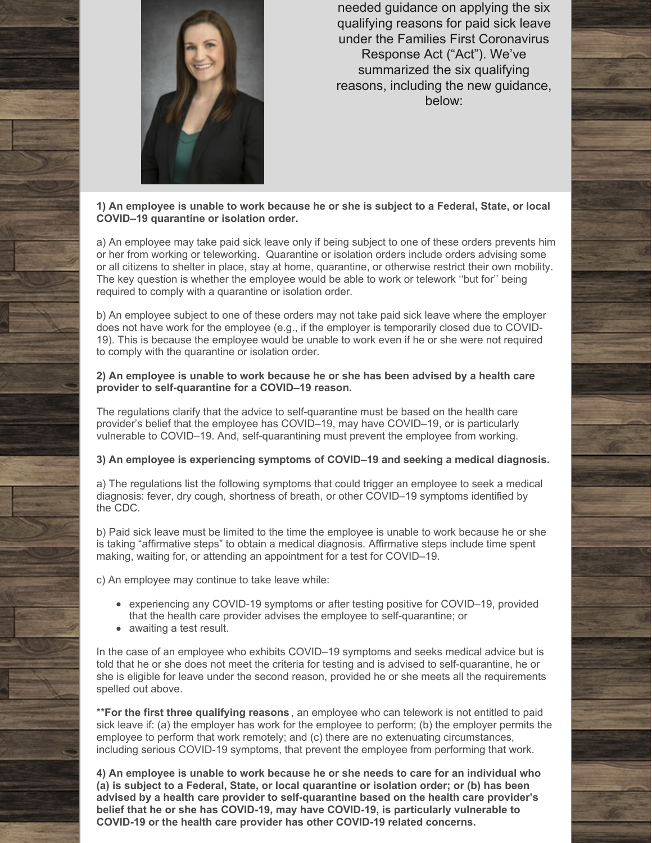

needed guidance on applying the six qualifying reasons for paid sick leave under the Families First Coronavirus Response Act ("Act"). We've summarized the six qualifying reasons, including the new guidance, below:

#### **1) An employee is unable to work because he or she is subject to a Federal, State, or local COVID–19 quarantine or isolation order.**

a) An employee may take paid sick leave only if being subject to one of these orders prevents him or her from working or teleworking. Quarantine or isolation orders include orders advising some or all citizens to shelter in place, stay at home, quarantine, or otherwise restrict their own mobility. The key question is whether the employee would be able to work or telework ''but for'' being required to comply with a quarantine or isolation order.

b) An employee subject to one of these orders may not take paid sick leave where the employer does not have work for the employee (e.g., if the employer is temporarily closed due to COVID-19). This is because the employee would be unable to work even if he or she were not required to comply with the quarantine or isolation order.

#### **2) An employee is unable to work because he or she has been advised by a health care provider to self-quarantine for a COVID–19 reason.**

The regulations clarify that the advice to self-quarantine must be based on the health care provider's belief that the employee has COVID–19, may have COVID–19, or is particularly vulnerable to COVID–19. And, self-quarantining must prevent the employee from working.

#### **3) An employee is experiencing symptoms of COVID–19 and seeking a medical diagnosis.**

a) The regulations list the following symptoms that could trigger an employee to seek a medical diagnosis: fever, dry cough, shortness of breath, or other COVID–19 symptoms identified by the [CDC](https://www.cdc.gov/coronavirus/2019-ncov/symptoms-testing/symptoms.html).

b) Paid sick leave must be limited to the time the employee is unable to work because he or she is taking "affirmative steps" to obtain a medical diagnosis. Affirmative steps include time spent making, waiting for, or attending an appointment for a test for COVID–19.

c) An employee may continue to take leave while:

- experiencing any COVID-19 symptoms or after testing positive for COVID–19, provided that the health care provider advises the employee to self-quarantine; or
- awaiting a test result.

In the case of an employee who exhibits COVID–19 symptoms and seeks medical advice but is told that he or she does not meet the criteria for testing and is advised to self-quarantine, he or she is eligible for leave under the second reason, provided he or she meets all the requirements spelled out above.

\*\***For the first three qualifying reasons** , an employee who can telework is not entitled to paid sick leave if: (a) the employer has work for the employee to perform; (b) the employer permits the employee to perform that work remotely; and (c) there are no extenuating circumstances, including serious COVID-19 symptoms, that prevent the employee from performing that work.

**4) An employee is unable to work because he or she needs to care for an individual who (a) is subject to a Federal, State, or local quarantine or isolation order; or (b) has been advised by a health care provider to self-quarantine based on the health care provider's belief that he or she has COVID-19, may have COVID-19, is particularly vulnerable to COVID-19 or the health care provider has other COVID-19 related concerns.**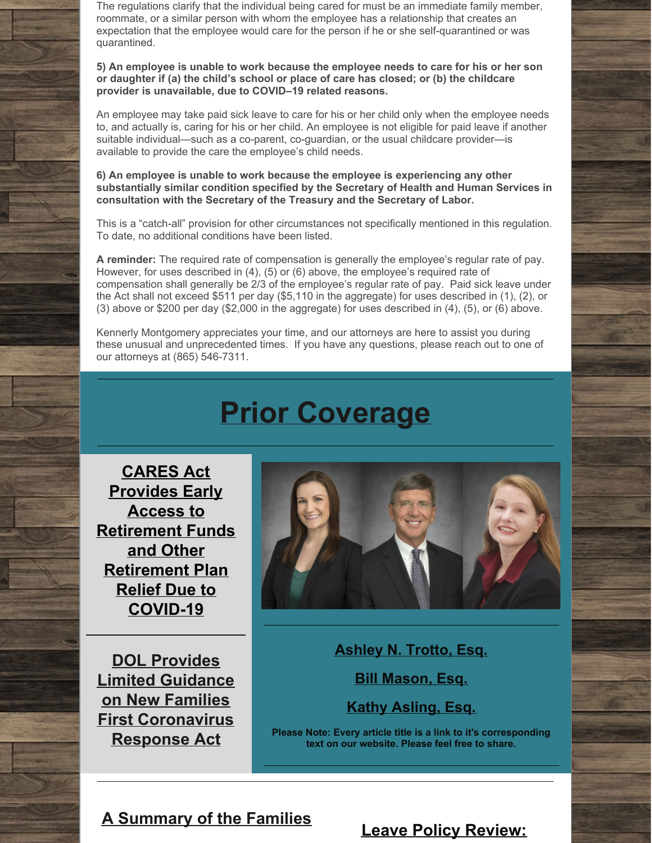The regulations clarify that the individual being cared for must be an immediate family member, roommate, or a similar person with whom the employee has a relationship that creates an expectation that the employee would care for the person if he or she self-quarantined or was quarantined.

**5) An employee is unable to work because the employee needs to care for his or her son or daughter if (a) the child's school or place of care has closed; or (b) the childcare provider is unavailable, due to COVID–19 related reasons.**

An employee may take paid sick leave to care for his or her child only when the employee needs to, and actually is, caring for his or her child. An employee is not eligible for paid leave if another suitable individual—such as a co-parent, co-guardian, or the usual childcare provider—is available to provide the care the employee's child needs.

**6) An employee is unable to work because the employee is experiencing any other substantially similar condition specified by the Secretary of Health and Human Services in consultation with the Secretary of the Treasury and the Secretary of Labor.**

This is a "catch-all" provision for other circumstances not specifically mentioned in this regulation. To date, no additional conditions have been listed.

**A reminder:** The required rate of compensation is generally the employee's regular rate of pay. However, for uses described in (4), (5) or (6) above, the employee's required rate of compensation shall generally be 2/3 of the employee's regular rate of pay. Paid sick leave under the Act shall not exceed \$511 per day (\$5,110 in the aggregate) for uses described in (1), (2), or (3) above or \$200 per day (\$2,000 in the aggregate) for uses described in (4), (5), or (6) above.

Kennerly Montgomery appreciates your time, and our attorneys are here to assist you during these unusual and unprecedented times. If you have any questions, please reach out to one of our attorneys at (865) 546-7311.

# **Prior Coverage**

**CARES Act Provides Early Access to Retirement Funds and Other [Retirement](http://www.kmfpc.com/Articles/cares_act_provides_early_access_to_retirement_funds_and_other_retirement_plan_relief.aspx) Plan Relief Due to COVID-19**

**DOL Provides Limited Guidance on New Families First [Coronavirus](http://www.kmfpc.com/Articles/dol_provides_limited_guidance_on_new_families_first_coronavirus_response_act.aspx) Response Act**



**[Ashley](http://www.kmfpc.com/attorneys/ashley_n_trotto.aspx) N. Trotto, Esq.**

**Bill [Mason,](http://www.kmfpc.com/attorneys/bill_mason.aspx) Esq.**

**Kathy [Asling,](http://www.kmfpc.com/attorneys/kathy_d_aslinger.aspx) Esq.**

**Please Note: Every article title is a link to it's corresponding text on our website. Please feel free to share.**

**A Summary of the Families**

**Leave Policy [Review:](http://www.kmfpc.com/Articles/leave_policy_review_coronavirus_covid-19.aspx)**